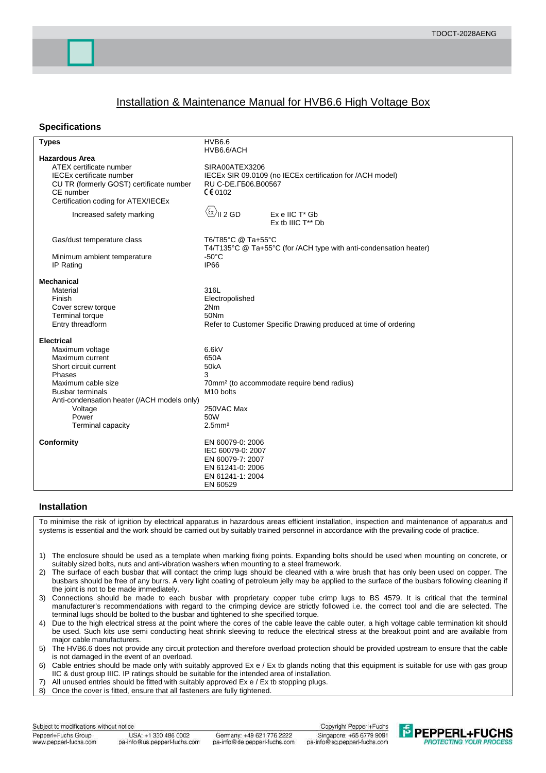## Installation & Maintenance Manual for HVB6.6 High Voltage Box

## **Specifications**

| <b>Types</b>                                                                                                                                                                                                                        | <b>HVB6.6</b><br>HVB6.6/ACH                                                                                                                               |
|-------------------------------------------------------------------------------------------------------------------------------------------------------------------------------------------------------------------------------------|-----------------------------------------------------------------------------------------------------------------------------------------------------------|
| <b>Hazardous Area</b><br>ATEX certificate number<br><b>IECEx certificate number</b><br>CU TR (formerly GOST) certificate number<br>CE number<br>Certification coding for ATEX/IECEx                                                 | SIRA00ATEX3206<br>IECEx SIR 09.0109 (no IECEx certification for /ACH model)<br>RU C-DE. [506.B00567<br>$C$ $C$ 0102                                       |
| Increased safety marking                                                                                                                                                                                                            | $\langle \⟩$ II 2 GD<br>Ex e IIC T* Gb<br>Ex tb IIIC T** Db                                                                                               |
| Gas/dust temperature class<br>Minimum ambient temperature<br>IP Rating                                                                                                                                                              | T6/T85°C @ Ta+55°C<br>T4/T135°C @ Ta+55°C (for /ACH type with anti-condensation heater)<br>$-50^{\circ}$ C<br><b>IP66</b>                                 |
| <b>Mechanical</b><br>Material<br>Finish<br>Cover screw torque<br><b>Terminal torque</b><br>Entry threadform                                                                                                                         | 316L<br>Electropolished<br>2Nm<br>50Nm<br>Refer to Customer Specific Drawing produced at time of ordering                                                 |
| <b>Electrical</b><br>Maximum voltage<br>Maximum current<br>Short circuit current<br>Phases<br>Maximum cable size<br><b>Busbar terminals</b><br>Anti-condensation heater (/ACH models only)<br>Voltage<br>Power<br>Terminal capacity | 6.6kV<br>650A<br><b>50kA</b><br>3<br>70mm <sup>2</sup> (to accommodate require bend radius)<br>M <sub>10</sub> bolts<br>250VAC Max<br>50W<br>$2.5$ mm $2$ |
| Conformity                                                                                                                                                                                                                          | EN 60079-0: 2006<br>IEC 60079-0: 2007<br>EN 60079-7: 2007<br>EN 61241-0: 2006<br>EN 61241-1: 2004<br>EN 60529                                             |

## **Installation**

To minimise the risk of ignition by electrical apparatus in hazardous areas efficient installation, inspection and maintenance of apparatus and systems is essential and the work should be carried out by suitably trained personnel in accordance with the prevailing code of practice.

- 1) The enclosure should be used as a template when marking fixing points. Expanding bolts should be used when mounting on concrete, or suitably sized bolts, nuts and anti-vibration washers when mounting to a steel framework.
- 2) The surface of each busbar that will contact the crimp lugs should be cleaned with a wire brush that has only been used on copper. The busbars should be free of any burrs. A very light coating of petroleum jelly may be applied to the surface of the busbars following cleaning if the joint is not to be made immediately.
- 3) Connections should be made to each busbar with proprietary copper tube crimp lugs to BS 4579. It is critical that the terminal manufacturer's recommendations with regard to the crimping device are strictly followed i.e. the correct tool and die are selected. The terminal lugs should be bolted to the busbar and tightened to she specified torque.
- 4) Due to the high electrical stress at the point where the cores of the cable leave the cable outer, a high voltage cable termination kit should be used. Such kits use semi conducting heat shrink sleeving to reduce the electrical stress at the breakout point and are available from major cable manufacturers.

5) The HVB6.6 does not provide any circuit protection and therefore overload protection should be provided upstream to ensure that the cable is not damaged in the event of an overload.

6) Cable entries should be made only with suitably approved Ex e / Ex tb glands noting that this equipment is suitable for use with gas group IIC & dust group IIIC. IP ratings should be suitable for the intended area of installation.

- 7) All unused entries should be fitted with suitably approved Ex e / Ex tb stopping plugs.
- $8)$  Once the cover is fitted, ensure that all fasteners are fully tightened.

Subject to modifications without notice